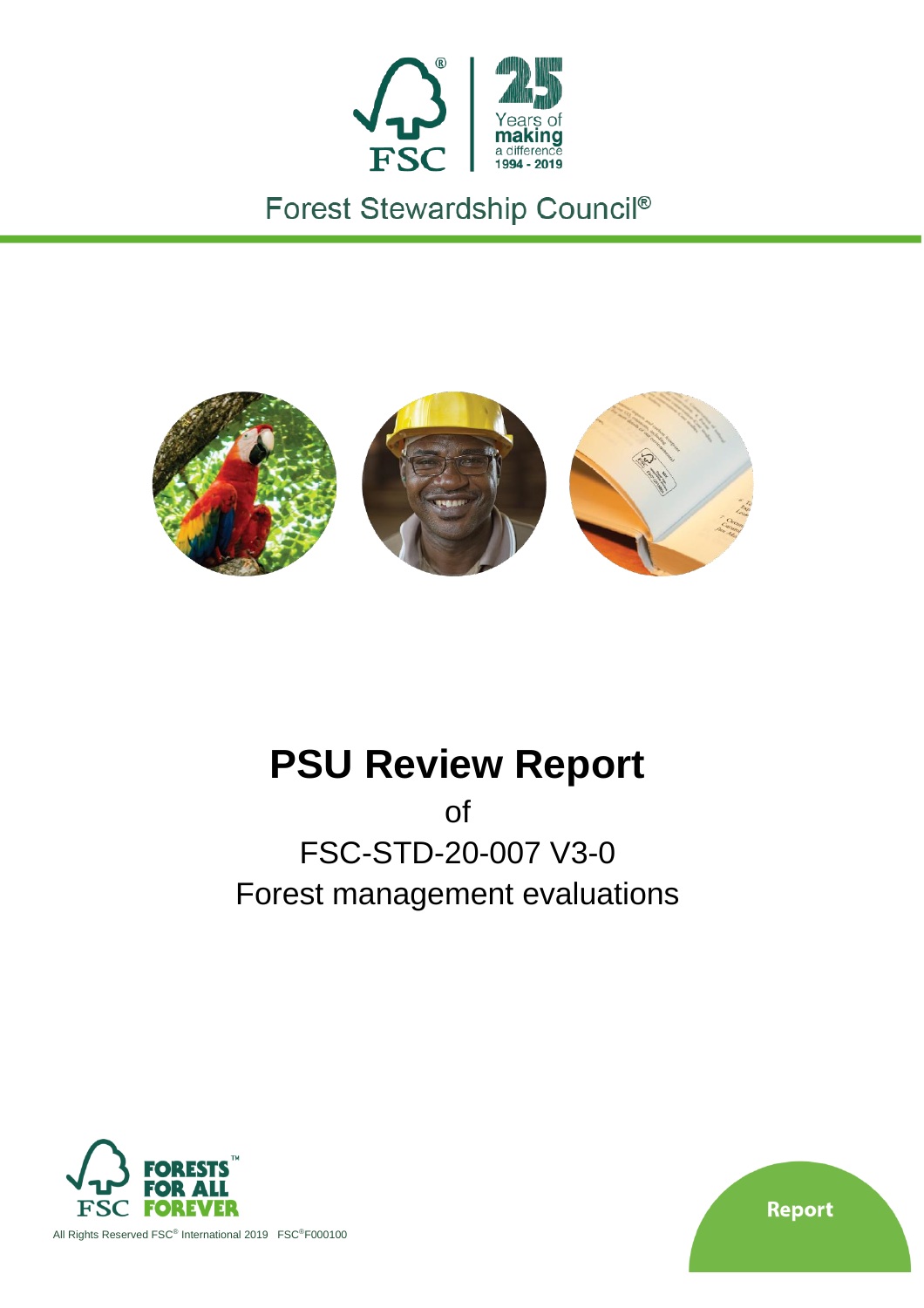

Forest Stewardship Council®



# **PSU Review Report**

of FSC-STD-20-007 V3-0 Forest management evaluations



All Rights Reserved FSC® International 2019 FSC®F000100

Report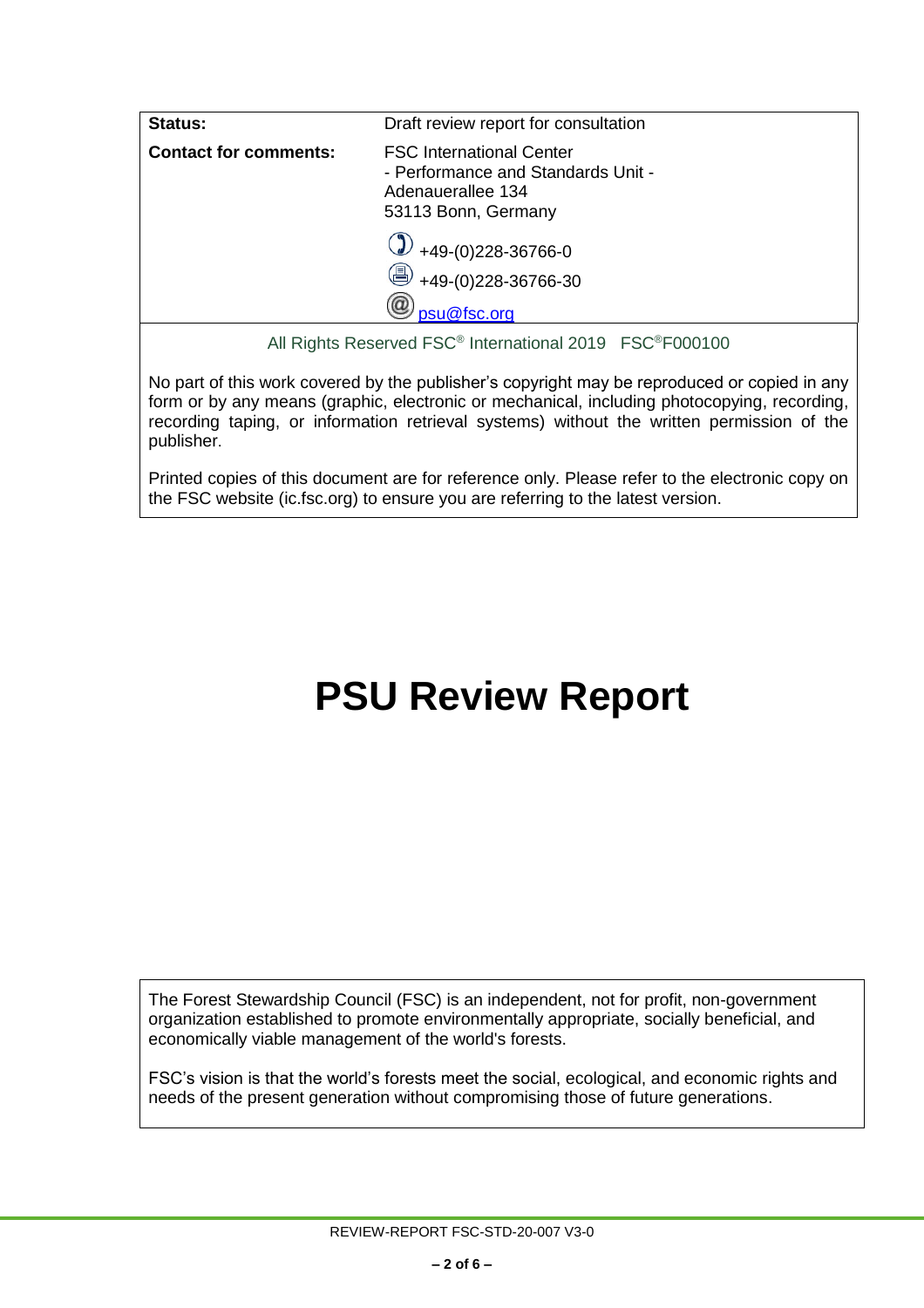| Status:                      | Draft review report for consultation                                                                              |
|------------------------------|-------------------------------------------------------------------------------------------------------------------|
| <b>Contact for comments:</b> | <b>FSC International Center</b><br>- Performance and Standards Unit -<br>Adenauerallee 134<br>53113 Bonn, Germany |
|                              | +49-(0)228-36766-0<br>+49-(0)228-36766-30<br>9<br>ια<br>psu@fsc.org                                               |
|                              |                                                                                                                   |

All Rights Reserved FSC® International 2019 FSC®F000100

No part of this work covered by the publisher's copyright may be reproduced or copied in any form or by any means (graphic, electronic or mechanical, including photocopying, recording, recording taping, or information retrieval systems) without the written permission of the publisher.

Printed copies of this document are for reference only. Please refer to the electronic copy on the FSC website (ic.fsc.org) to ensure you are referring to the latest version.

# **PSU Review Report**

The Forest Stewardship Council (FSC) is an independent, not for profit, non-government organization established to promote environmentally appropriate, socially beneficial, and economically viable management of the world's forests.

FSC's vision is that the world's forests meet the social, ecological, and economic rights and needs of the present generation without compromising those of future generations.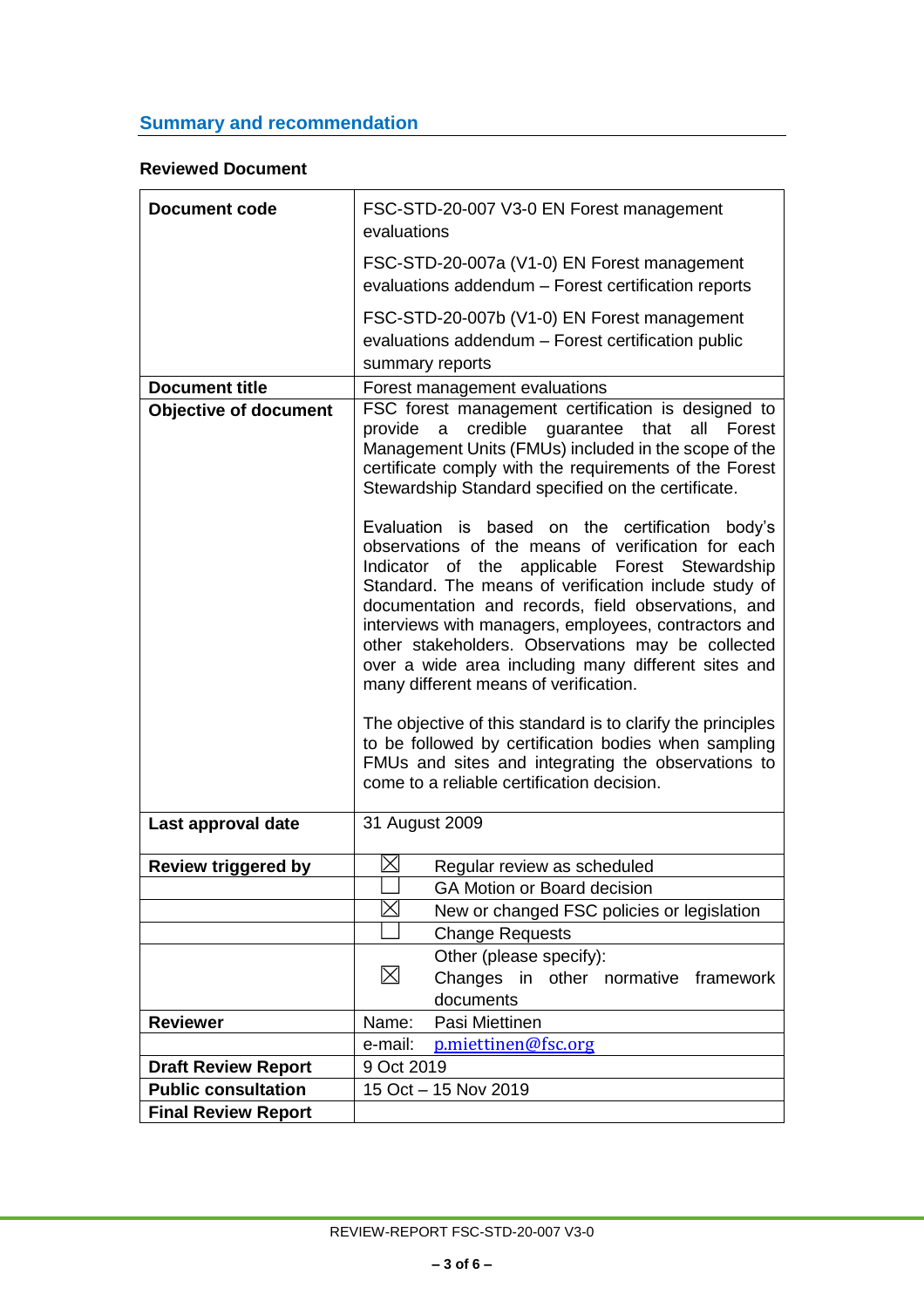# **Summary and recommendation**

## **Reviewed Document**

| <b>Document code</b>         | FSC-STD-20-007 V3-0 EN Forest management<br>evaluations                                                                                                                                                                                                                                                                                                                                                                                                                                                                                                                                                                                                                                                                                                                                                                                                                                                                                                                                              |
|------------------------------|------------------------------------------------------------------------------------------------------------------------------------------------------------------------------------------------------------------------------------------------------------------------------------------------------------------------------------------------------------------------------------------------------------------------------------------------------------------------------------------------------------------------------------------------------------------------------------------------------------------------------------------------------------------------------------------------------------------------------------------------------------------------------------------------------------------------------------------------------------------------------------------------------------------------------------------------------------------------------------------------------|
|                              | FSC-STD-20-007a (V1-0) EN Forest management<br>evaluations addendum - Forest certification reports                                                                                                                                                                                                                                                                                                                                                                                                                                                                                                                                                                                                                                                                                                                                                                                                                                                                                                   |
|                              | FSC-STD-20-007b (V1-0) EN Forest management<br>evaluations addendum - Forest certification public<br>summary reports                                                                                                                                                                                                                                                                                                                                                                                                                                                                                                                                                                                                                                                                                                                                                                                                                                                                                 |
| <b>Document title</b>        | Forest management evaluations                                                                                                                                                                                                                                                                                                                                                                                                                                                                                                                                                                                                                                                                                                                                                                                                                                                                                                                                                                        |
| <b>Objective of document</b> | FSC forest management certification is designed to<br>credible guarantee that<br>provide a<br>all<br>Forest<br>Management Units (FMUs) included in the scope of the<br>certificate comply with the requirements of the Forest<br>Stewardship Standard specified on the certificate.<br>Evaluation is based on the certification body's<br>observations of the means of verification for each<br>Indicator of the applicable Forest Stewardship<br>Standard. The means of verification include study of<br>documentation and records, field observations, and<br>interviews with managers, employees, contractors and<br>other stakeholders. Observations may be collected<br>over a wide area including many different sites and<br>many different means of verification.<br>The objective of this standard is to clarify the principles<br>to be followed by certification bodies when sampling<br>FMUs and sites and integrating the observations to<br>come to a reliable certification decision. |
| Last approval date           | 31 August 2009                                                                                                                                                                                                                                                                                                                                                                                                                                                                                                                                                                                                                                                                                                                                                                                                                                                                                                                                                                                       |
| <b>Review triggered by</b>   | $\boxtimes$<br>Regular review as scheduled                                                                                                                                                                                                                                                                                                                                                                                                                                                                                                                                                                                                                                                                                                                                                                                                                                                                                                                                                           |
|                              | GA Motion or Board decision                                                                                                                                                                                                                                                                                                                                                                                                                                                                                                                                                                                                                                                                                                                                                                                                                                                                                                                                                                          |
|                              | $\times$<br>New or changed FSC policies or legislation                                                                                                                                                                                                                                                                                                                                                                                                                                                                                                                                                                                                                                                                                                                                                                                                                                                                                                                                               |
|                              | <b>Change Requests</b>                                                                                                                                                                                                                                                                                                                                                                                                                                                                                                                                                                                                                                                                                                                                                                                                                                                                                                                                                                               |
|                              | Other (please specify):                                                                                                                                                                                                                                                                                                                                                                                                                                                                                                                                                                                                                                                                                                                                                                                                                                                                                                                                                                              |
|                              | $\boxtimes$<br>Changes in other normative framework<br>documents                                                                                                                                                                                                                                                                                                                                                                                                                                                                                                                                                                                                                                                                                                                                                                                                                                                                                                                                     |
| <b>Reviewer</b>              | Pasi Miettinen<br>Name:                                                                                                                                                                                                                                                                                                                                                                                                                                                                                                                                                                                                                                                                                                                                                                                                                                                                                                                                                                              |
|                              | e-mail:<br>p.miettinen@fsc.org                                                                                                                                                                                                                                                                                                                                                                                                                                                                                                                                                                                                                                                                                                                                                                                                                                                                                                                                                                       |
| <b>Draft Review Report</b>   | 9 Oct 2019                                                                                                                                                                                                                                                                                                                                                                                                                                                                                                                                                                                                                                                                                                                                                                                                                                                                                                                                                                                           |
| <b>Public consultation</b>   | 15 Oct - 15 Nov 2019                                                                                                                                                                                                                                                                                                                                                                                                                                                                                                                                                                                                                                                                                                                                                                                                                                                                                                                                                                                 |
| <b>Final Review Report</b>   |                                                                                                                                                                                                                                                                                                                                                                                                                                                                                                                                                                                                                                                                                                                                                                                                                                                                                                                                                                                                      |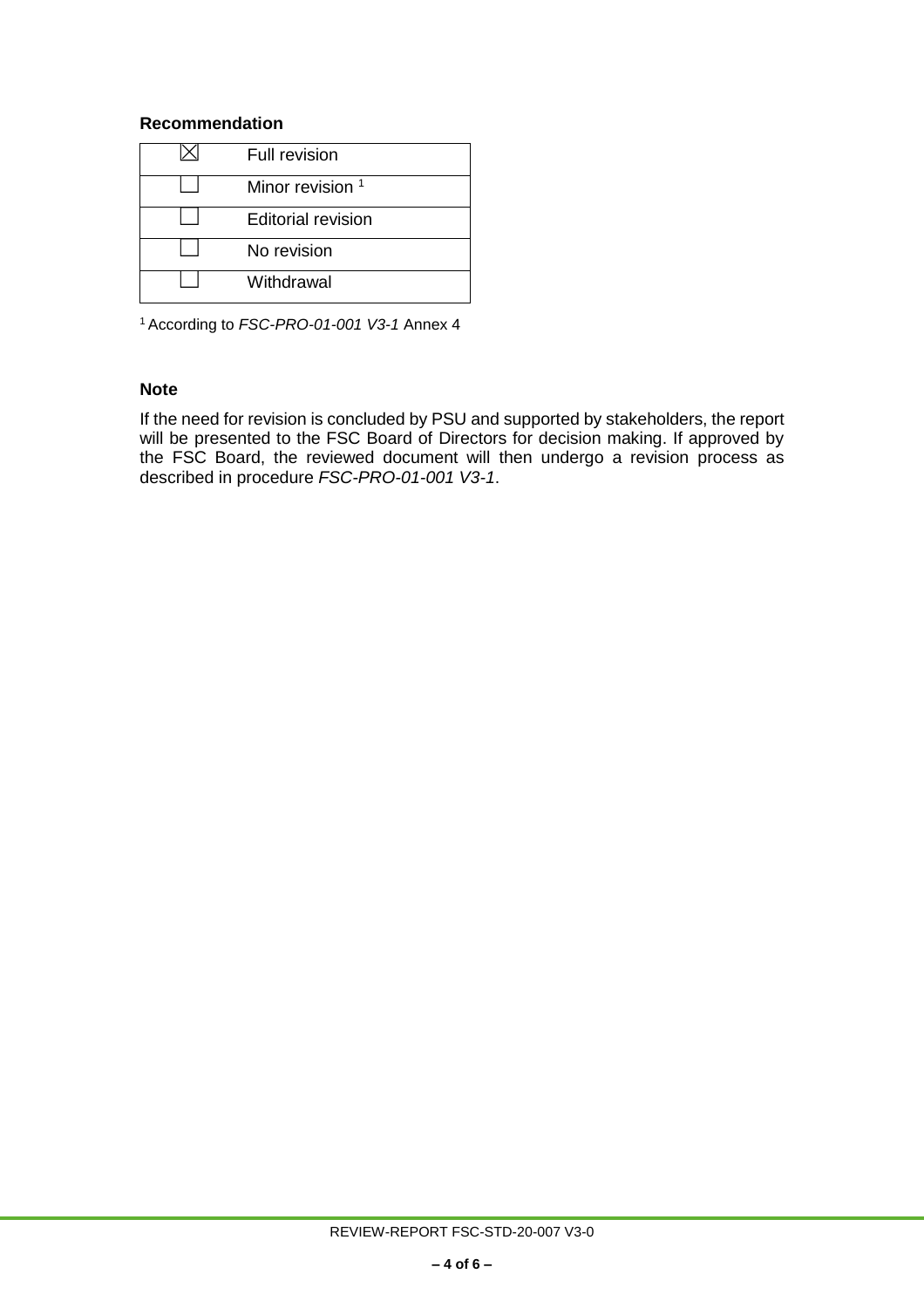### **Recommendation**

| <b>Full revision</b>        |
|-----------------------------|
| Minor revision <sup>1</sup> |
| <b>Editorial revision</b>   |
| No revision                 |
| Withdrawal                  |

<sup>1</sup>According to *FSC-PRO-01-001 V3-1* Annex 4

## **Note**

If the need for revision is concluded by PSU and supported by stakeholders, the report will be presented to the FSC Board of Directors for decision making. If approved by the FSC Board, the reviewed document will then undergo a revision process as described in procedure *FSC-PRO-01-001 V3-1*.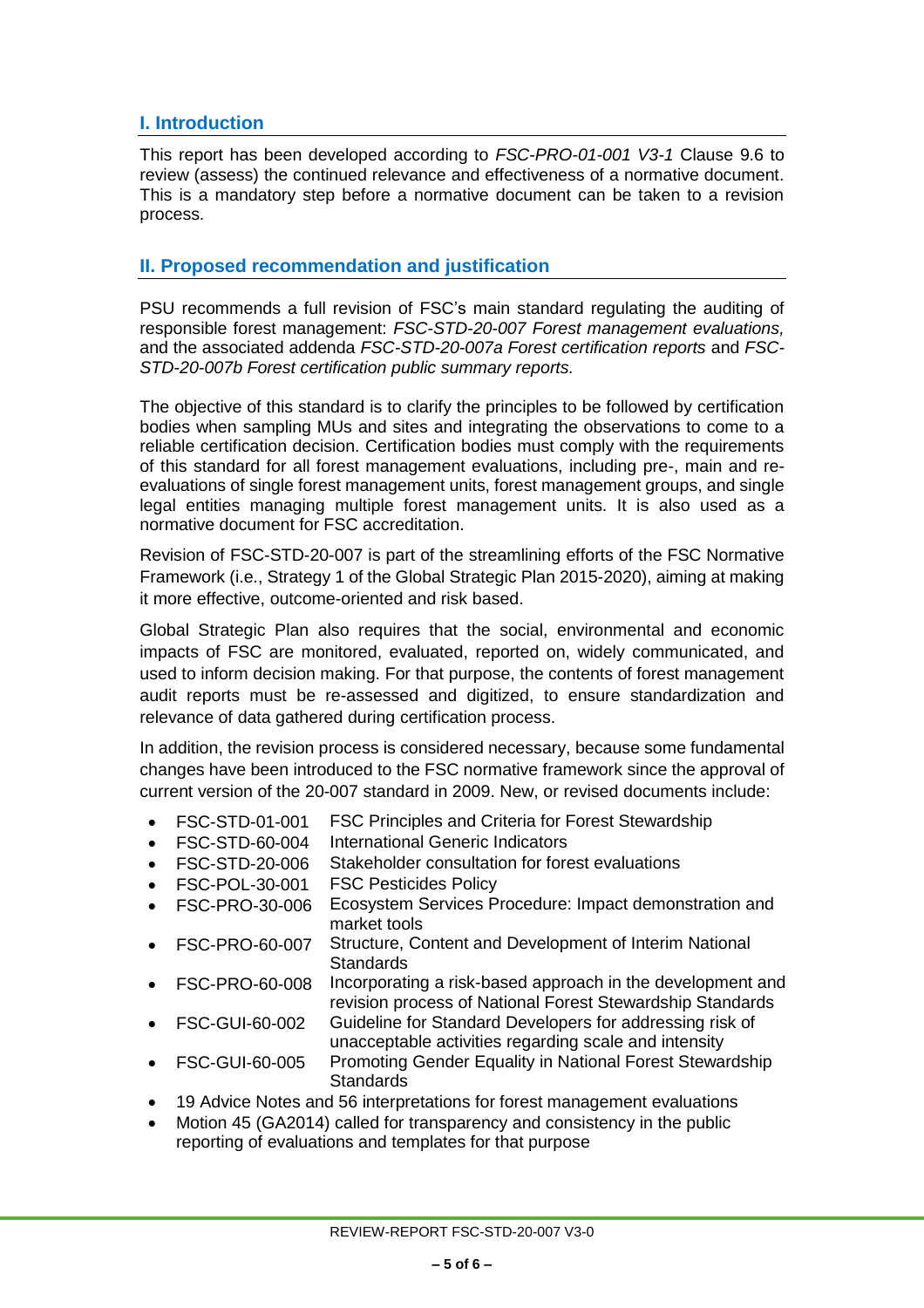# **I. Introduction**

This report has been developed according to *FSC-PRO-01-001 V3-1* Clause 9.6 to review (assess) the continued relevance and effectiveness of a normative document. This is a mandatory step before a normative document can be taken to a revision process.

# **II. Proposed recommendation and justification**

PSU recommends a full revision of FSC's main standard regulating the auditing of responsible forest management: *FSC-STD-20-007 Forest management evaluations,* and the associated addenda *FSC-STD-20-007a Forest certification reports* and *FSC-STD-20-007b Forest certification public summary reports.*

The objective of this standard is to clarify the principles to be followed by certification bodies when sampling MUs and sites and integrating the observations to come to a reliable certification decision. Certification bodies must comply with the requirements of this standard for all forest management evaluations, including pre-, main and reevaluations of single forest management units, forest management groups, and single legal entities managing multiple forest management units. It is also used as a normative document for FSC accreditation.

Revision of FSC-STD-20-007 is part of the streamlining efforts of the FSC Normative Framework (i.e., Strategy 1 of the Global Strategic Plan 2015-2020), aiming at making it more effective, outcome-oriented and risk based.

Global Strategic Plan also requires that the social, environmental and economic impacts of FSC are monitored, evaluated, reported on, widely communicated, and used to inform decision making. For that purpose, the contents of forest management audit reports must be re-assessed and digitized, to ensure standardization and relevance of data gathered during certification process.

In addition, the revision process is considered necessary, because some fundamental changes have been introduced to the FSC normative framework since the approval of current version of the 20-007 standard in 2009. New, or revised documents include:

- FSC-STD-01-001 FSC Principles and Criteria for Forest Stewardship
- FSC-STD-60-004 International Generic Indicators
- FSC-STD-20-006 Stakeholder consultation for forest evaluations
- FSC-POL-30-001 FSC Pesticides Policy
- FSC-PRO-30-006 Ecosystem Services Procedure: Impact demonstration and market tools
- FSC-PRO-60-007 Structure, Content and Development of Interim National **Standards**
- FSC-PRO-60-008 Incorporating a risk-based approach in the development and revision process of National Forest Stewardship Standards
- FSC-GUI-60-002 Guideline for Standard Developers for addressing risk of
- unacceptable activities regarding scale and intensity • FSC-GUI-60-005 Promoting Gender Equality in National Forest Stewardship **Standards**
- 19 Advice Notes and 56 interpretations for forest management evaluations
- Motion 45 (GA2014) called for transparency and consistency in the public reporting of evaluations and templates for that purpose